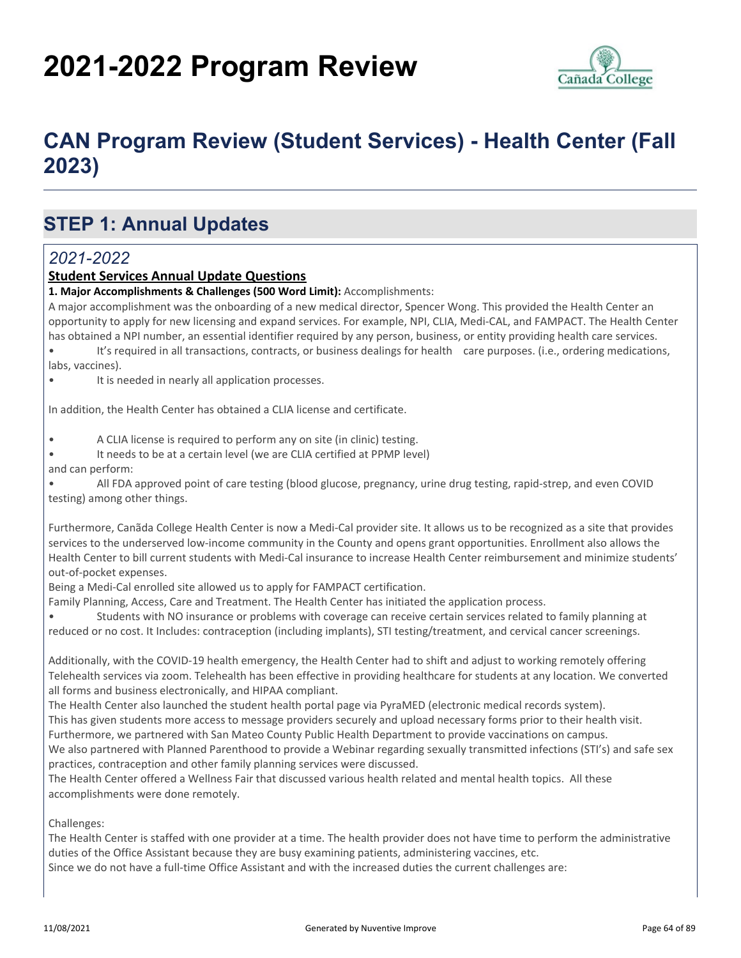# **2021-2022 Program Review**



# **CAN Program Review (Student Services) - Health Center (Fall 2023)**

### **STEP 1: Annual Updates**

#### *2021-2022*

#### **Student Services Annual Update Questions**

#### **1. Major Accomplishments & Challenges (500 Word Limit):** Accomplishments:

A major accomplishment was the onboarding of a new medical director, Spencer Wong. This provided the Health Center an opportunity to apply for new licensing and expand services. For example, NPI, CLIA, Medi-CAL, and FAMPACT. The Health Center has obtained a NPI number, an essential identifier required by any person, business, or entity providing health care services.

• It's required in all transactions, contracts, or business dealings for health care purposes. (i.e., ordering medications, labs, vaccines).

• It is needed in nearly all application processes.

In addition, the Health Center has obtained a CLIA license and certificate.

• A CLIA license is required to perform any on site (in clinic) testing.

• It needs to be at a certain level (we are CLIA certified at PPMP level)

and can perform:

• All FDA approved point of care testing (blood glucose, pregnancy, urine drug testing, rapid-strep, and even COVID testing) among other things.

Furthermore, Canãda College Health Center is now a Medi-Cal provider site. It allows us to be recognized as a site that provides services to the underserved low-income community in the County and opens grant opportunities. Enrollment also allows the Health Center to bill current students with Medi-Cal insurance to increase Health Center reimbursement and minimize students' out-of-pocket expenses.

Being a Medi-Cal enrolled site allowed us to apply for FAMPACT certification.

Family Planning, Access, Care and Treatment. The Health Center has initiated the application process.

• Students with NO insurance or problems with coverage can receive certain services related to family planning at reduced or no cost. It Includes: contraception (including implants), STI testing/treatment, and cervical cancer screenings.

Additionally, with the COVID-19 health emergency, the Health Center had to shift and adjust to working remotely offering Telehealth services via zoom. Telehealth has been effective in providing healthcare for students at any location. We converted all forms and business electronically, and HIPAA compliant.

The Health Center also launched the student health portal page via PyraMED (electronic medical records system). This has given students more access to message providers securely and upload necessary forms prior to their health visit. Furthermore, we partnered with San Mateo County Public Health Department to provide vaccinations on campus.

We also partnered with Planned Parenthood to provide a Webinar regarding sexually transmitted infections (STI's) and safe sex practices, contraception and other family planning services were discussed.

The Health Center offered a Wellness Fair that discussed various health related and mental health topics. All these accomplishments were done remotely.

Challenges:

The Health Center is staffed with one provider at a time. The health provider does not have time to perform the administrative duties of the Office Assistant because they are busy examining patients, administering vaccines, etc. Since we do not have a full-time Office Assistant and with the increased duties the current challenges are: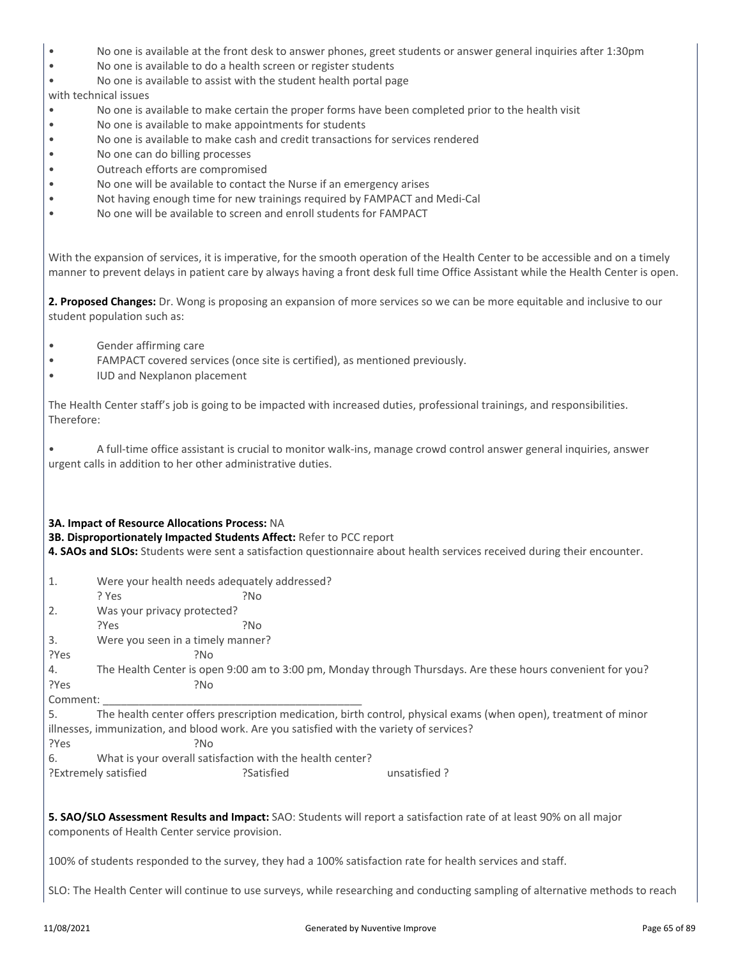- No one is available at the front desk to answer phones, greet students or answer general inquiries after 1:30pm
- No one is available to do a health screen or register students
- No one is available to assist with the student health portal page

#### with technical issues

- No one is available to make certain the proper forms have been completed prior to the health visit
- No one is available to make appointments for students
- No one is available to make cash and credit transactions for services rendered
- No one can do billing processes
- Outreach efforts are compromised
- No one will be available to contact the Nurse if an emergency arises
- Not having enough time for new trainings required by FAMPACT and Medi-Cal
- No one will be available to screen and enroll students for FAMPACT

With the expansion of services, it is imperative, for the smooth operation of the Health Center to be accessible and on a timely manner to prevent delays in patient care by always having a front desk full time Office Assistant while the Health Center is open.

**2. Proposed Changes:** Dr. Wong is proposing an expansion of more services so we can be more equitable and inclusive to our student population such as:

- Gender affirming care
- FAMPACT covered services (once site is certified), as mentioned previously.
- IUD and Nexplanon placement

The Health Center staff's job is going to be impacted with increased duties, professional trainings, and responsibilities. Therefore:

• A full-time office assistant is crucial to monitor walk-ins, manage crowd control answer general inquiries, answer urgent calls in addition to her other administrative duties.

#### **3A. Impact of Resource Allocations Process:** NA

**3B. Disproportionately Impacted Students Affect:** Refer to PCC report

**4. SAOs and SLOs:** Students were sent a satisfaction questionnaire about health services received during their encounter.

- 1. Were your health needs adequately addressed?
- ? Yes ?No
- 2. Was your privacy protected? ?Yes ?No
- 3. Were you seen in a timely manner?
- ?Yes ?No
- 4. The Health Center is open 9:00 am to 3:00 pm, Monday through Thursdays. Are these hours convenient for you? ?Yes ?No

Comment:

5. The health center offers prescription medication, birth control, physical exams (when open), treatment of minor illnesses, immunization, and blood work. Are you satisfied with the variety of services?

?Yes ?No

6. What is your overall satisfaction with the health center?

?Extremely satisfied ?Satisfied unsatisfied ?

**5. SAO/SLO Assessment Results and Impact:** SAO: Students will report a satisfaction rate of at least 90% on all major components of Health Center service provision.

100% of students responded to the survey, they had a 100% satisfaction rate for health services and staff.

SLO: The Health Center will continue to use surveys, while researching and conducting sampling of alternative methods to reach